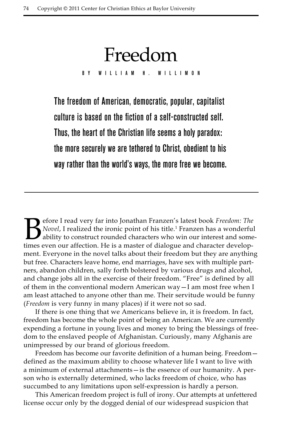The freedom of American, democratic, popular, capitalist culture is based on the fiction of a self-constructed self. Thus, the heart of the Christian life seems a holy paradox: the more securely we are tethered to Christ, obedient to his way rather than the world's ways, the more free we become.

Freedom

By William H. Willimon

Before I read very far into Jonathan Franzen's latest book *Freedom: The Novel*, I realized the ironic point of his title.<sup>1</sup> Franzen has a wonderful ability to construct rounded characters who win our interest and some ti Novel, I realized the ironic point of his title.<sup>1</sup> Franzen has a wonderful ability to construct rounded characters who win our interest and sometimes even our affection. He is a master of dialogue and character development. Everyone in the novel talks about their freedom but they are anything but free. Characters leave home, end marriages, have sex with multiple partners, abandon children, sally forth bolstered by various drugs and alcohol, and change jobs all in the exercise of their freedom. "Free" is defined by all of them in the conventional modern American way—I am most free when I am least attached to anyone other than me. Their servitude would be funny (*Freedom* is very funny in many places) if it were not so sad.

If there is one thing that we Americans believe in, it is freedom. In fact, freedom has become the whole point of being an American. We are currently expending a fortune in young lives and money to bring the blessings of freedom to the enslaved people of Afghanistan. Curiously, many Afghanis are unimpressed by our brand of glorious freedom.

Freedom has become our favorite definition of a human being. Freedom defined as the maximum ability to choose whatever life I want to live with a minimum of external attachments—is the essence of our humanity. A person who is externally determined, who lacks freedom of choice, who has succumbed to any limitations upon self-expression is hardly a person.

This American freedom project is full of irony. Our attempts at unfettered license occur only by the dogged denial of our widespread suspicion that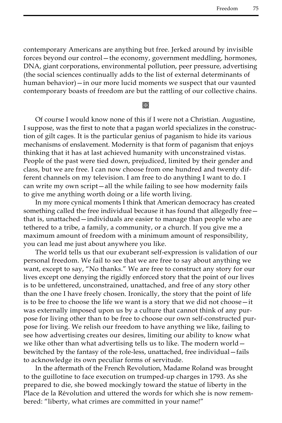contemporary Americans are anything but free. Jerked around by invisible forces beyond our control—the economy, government meddling, hormones, DNA, giant corporations, environmental pollution, peer pressure, advertising (the social sciences continually adds to the list of external determinants of human behavior)—in our more lucid moments we suspect that our vaunted contemporary boasts of freedom are but the rattling of our collective chains.

**Keep** 

Of course I would know none of this if I were not a Christian. Augustine, I suppose, was the first to note that a pagan world specializes in the construction of gilt cages. It is the particular genius of paganism to hide its various mechanisms of enslavement. Modernity is that form of paganism that enjoys thinking that it has at last achieved humanity with unconstrained vistas. People of the past were tied down, prejudiced, limited by their gender and class, but we are free. I can now choose from one hundred and twenty different channels on my television. I am free to do anything I want to do. I can write my own script—all the while failing to see how modernity fails to give me anything worth doing or a life worth living.

In my more cynical moments I think that American democracy has created something called the free individual because it has found that allegedly free that is, unattached—individuals are easier to manage than people who are tethered to a tribe, a family, a community, or a church. If you give me a maximum amount of freedom with a minimum amount of responsibility, you can lead me just about anywhere you like.

The world tells us that our exuberant self-expression is validation of our personal freedom. We fail to see that we are free to say about anything we want, except to say, "No thanks." We are free to construct any story for our lives except one denying the rigidly enforced story that the point of our lives is to be unfettered, unconstrained, unattached, and free of any story other than the one I have freely chosen. Ironically, the story that the point of life is to be free to choose the life we want is a story that we did not choose—it was externally imposed upon us by a culture that cannot think of any purpose for living other than to be free to choose our own self-constructed purpose for living. We relish our freedom to have anything we like, failing to see how advertising creates our desires, limiting our ability to know what we like other than what advertising tells us to like. The modern world – bewitched by the fantasy of the role-less, unattached, free individual—fails to acknowledge its own peculiar forms of servitude.

In the aftermath of the French Revolution, Madame Roland was brought to the guillotine to face execution on trumped-up charges in 1793. As she prepared to die, she bowed mockingly toward the statue of liberty in the Place de la Révolution and uttered the words for which she is now remembered: "liberty, what crimes are committed in your name!"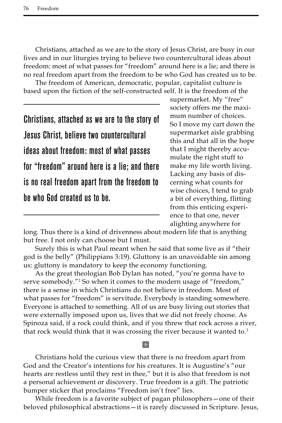Christians, attached as we are to the story of Jesus Christ, are busy in our lives and in our liturgies trying to believe two countercultural ideas about freedom: most of what passes for "freedom" around here is a lie; and there is no real freedom apart from the freedom to be who God has created us to be.

The freedom of American, democratic, popular, capitalist culture is based upon the fiction of the self-constructed self. It is the freedom of the

Christians, attached as we are to the story of Jesus Christ, believe two countercultural ideas about freedom: most of what passes for "freedom" around here is a lie; and there is no real freedom apart from the freedom to be who God created us to be.

supermarket. My "free" society offers me the maximum number of choices. So I move my cart down the supermarket aisle grabbing this and that all in the hope that I might thereby accumulate the right stuff to make my life worth living. Lacking any basis of discerning what counts for wise choices, I tend to grab a bit of everything, flitting from this enticing experience to that one, never alighting anywhere for

long. Thus there is a kind of drivenness about modern life that is anything but free. I not only can choose but I must.

Surely this is what Paul meant when he said that some live as if "their god is the belly" (Philippians 3:19). Gluttony is an unavoidable sin among us: gluttony is mandatory to keep the economy functioning.

As the great theologian Bob Dylan has noted, "you're gonna have to serve somebody."2 So when it comes to the modern usage of "freedom," there is a sense in which Christians do not believe in freedom. Most of what passes for "freedom" is servitude. Everybody is standing somewhere. Everyone is attached to something. All of us are busy living out stories that were externally imposed upon us, lives that we did not freely choose. As Spinoza said, if a rock could think, and if you threw that rock across a river, that rock would think that it was crossing the river because it wanted to. $3$ 

## Kor

Christians hold the curious view that there is no freedom apart from God and the Creator's intentions for his creatures. It is Augustine's "our hearts are restless until they rest in thee," but it is also that freedom is not a personal achievement or discovery. True freedom is a gift. The patriotic bumper sticker that proclaims "Freedom isn't free" lies.

While freedom is a favorite subject of pagan philosophers—one of their beloved philosophical abstractions—it is rarely discussed in Scripture. Jesus,